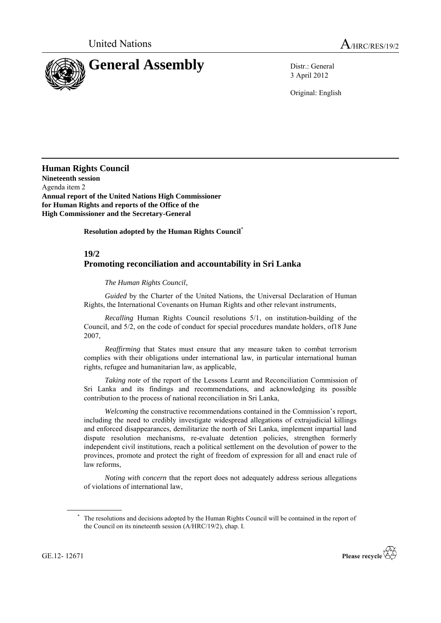

3 April 2012

Original: English

**Human Rights Council Nineteenth session** Agenda item 2 **Annual report of the United Nations High Commissioner for Human Rights and reports of the Office of the High Commissioner and the Secretary-General**

**Resolution adopted by the Human Rights Council**\*

## **19/2 Promoting reconciliation and accountability in Sri Lanka**

*The Human Rights Council*,

*Guided* by the Charter of the United Nations, the Universal Declaration of Human Rights, the International Covenants on Human Rights and other relevant instruments,

*Recalling* Human Rights Council resolutions 5/1, on institution-building of the Council, and 5/2, on the code of conduct for special procedures mandate holders, of18 June 2007,

*Reaffirming* that States must ensure that any measure taken to combat terrorism complies with their obligations under international law, in particular international human rights, refugee and humanitarian law, as applicable,

*Taking note* of the report of the Lessons Learnt and Reconciliation Commission of Sri Lanka and its findings and recommendations, and acknowledging its possible contribution to the process of national reconciliation in Sri Lanka,

*Welcoming* the constructive recommendations contained in the Commission's report, including the need to credibly investigate widespread allegations of extrajudicial killings and enforced disappearances, demilitarize the north of Sri Lanka, implement impartial land dispute resolution mechanisms, re-evaluate detention policies, strengthen formerly independent civil institutions, reach a political settlement on the devolution of power to the provinces, promote and protect the right of freedom of expression for all and enact rule of law reforms,

*Noting with concern* that the report does not adequately address serious allegations of violations of international law,

The resolutions and decisions adopted by the Human Rights Council will be contained in the report of the Council on its nineteenth session (A/HRC/19/2), chap. I.